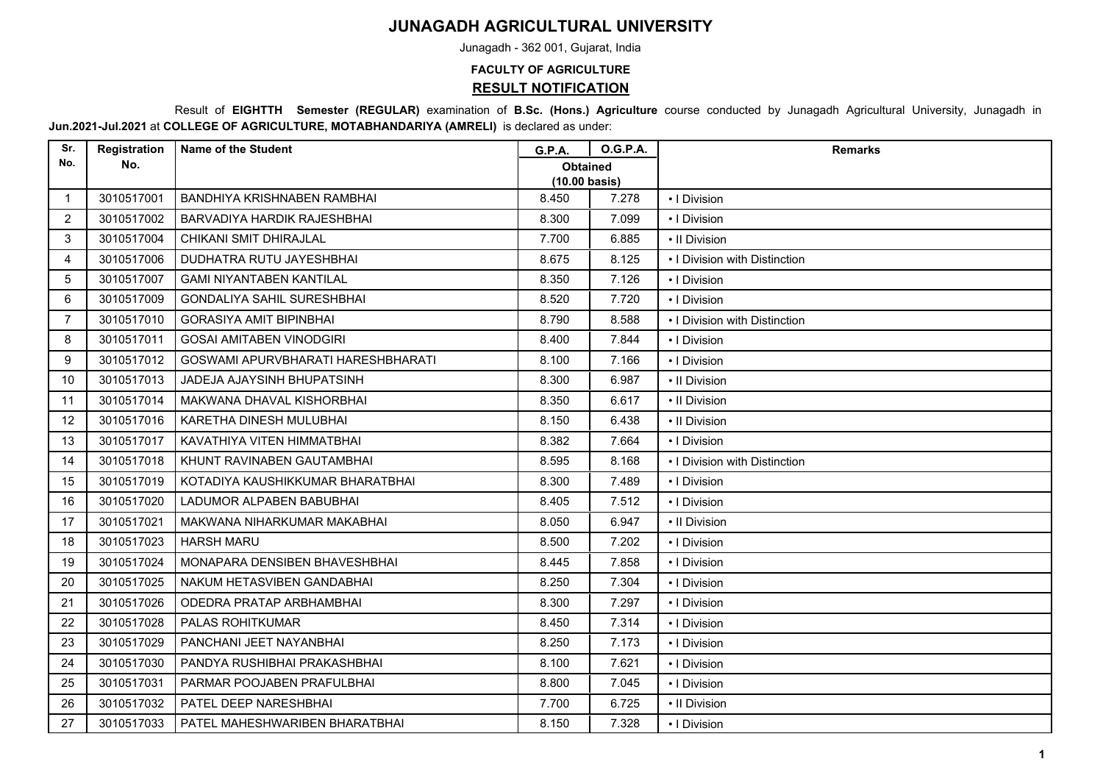## **JUNAGADH AGRICULTURAL UNIVERSITY**

Junagadh - 362 001, Gujarat, India

## **FACULTY OF AGRICULTURE RESULT NOTIFICATION**

 Result of **EIGHTTH Semester (REGULAR)** examination of **B.Sc. (Hons.) Agriculture** course conducted by Junagadh Agricultural University, Junagadh in **Jun.2021-Jul.2021** at **COLLEGE OF AGRICULTURE, MOTABHANDARIYA (AMRELI)** is declared as under:

| Sr.            | Registration | <b>Name of the Student</b>         | <b>G.P.A.</b>                              | <b>O.G.P.A.</b> | <b>Remarks</b>                |
|----------------|--------------|------------------------------------|--------------------------------------------|-----------------|-------------------------------|
| No.            | No.          |                                    | <b>Obtained</b><br>$(10.00 \text{ basis})$ |                 |                               |
| $\mathbf 1$    | 3010517001   | BANDHIYA KRISHNABEN RAMBHAI        | 8.450                                      | 7.278           | • I Division                  |
| $\overline{2}$ | 3010517002   | BARVADIYA HARDIK RAJESHBHAI        | 8.300                                      | 7.099           | • I Division                  |
| 3              | 3010517004   | CHIKANI SMIT DHIRAJLAL             | 7.700                                      | 6.885           | • Il Division                 |
| 4              | 3010517006   | DUDHATRA RUTU JAYESHBHAI           | 8.675                                      | 8.125           | • I Division with Distinction |
| 5              | 3010517007   | <b>GAMI NIYANTABEN KANTILAL</b>    | 8.350                                      | 7.126           | • I Division                  |
| 6              | 3010517009   | <b>GONDALIYA SAHIL SURESHBHAI</b>  | 8.520                                      | 7.720           | •   Division                  |
| $\overline{7}$ | 3010517010   | <b>GORASIYA AMIT BIPINBHAI</b>     | 8.790                                      | 8.588           | • I Division with Distinction |
| 8              | 3010517011   | <b>GOSAI AMITABEN VINODGIRI</b>    | 8.400                                      | 7.844           | • I Division                  |
| 9              | 3010517012   | GOSWAMI APURVBHARATI HARESHBHARATI | 8.100                                      | 7.166           | •   Division                  |
| 10             | 3010517013   | JADEJA AJAYSINH BHUPATSINH         | 8.300                                      | 6.987           | • Il Division                 |
| 11             | 3010517014   | MAKWANA DHAVAL KISHORBHAI          | 8.350                                      | 6.617           | • Il Division                 |
| 12             | 3010517016   | KARETHA DINESH MULUBHAI            | 8.150                                      | 6.438           | • Il Division                 |
| 13             | 3010517017   | KAVATHIYA VITEN HIMMATBHAI         | 8.382                                      | 7.664           | • I Division                  |
| 14             | 3010517018   | KHUNT RAVINABEN GAUTAMBHAI         | 8.595                                      | 8.168           | • I Division with Distinction |
| 15             | 3010517019   | KOTADIYA KAUSHIKKUMAR BHARATBHAI   | 8.300                                      | 7.489           | • I Division                  |
| 16             | 3010517020   | LADUMOR ALPABEN BABUBHAI           | 8.405                                      | 7.512           | • I Division                  |
| 17             | 3010517021   | MAKWANA NIHARKUMAR MAKABHAI        | 8.050                                      | 6.947           | • Il Division                 |
| 18             | 3010517023   | <b>HARSH MARU</b>                  | 8.500                                      | 7.202           | •   Division                  |
| 19             | 3010517024   | MONAPARA DENSIBEN BHAVESHBHAI      | 8.445                                      | 7.858           | •   Division                  |
| 20             | 3010517025   | NAKUM HETASVIBEN GANDABHAI         | 8.250                                      | 7.304           | •   Division                  |
| 21             | 3010517026   | ODEDRA PRATAP ARBHAMBHAI           | 8.300                                      | 7.297           | •   Division                  |
| 22             | 3010517028   | PALAS ROHITKUMAR                   | 8.450                                      | 7.314           | • I Division                  |
| 23             | 3010517029   | PANCHANI JEET NAYANBHAI            | 8.250                                      | 7.173           | •   Division                  |
| 24             | 3010517030   | PANDYA RUSHIBHAI PRAKASHBHAI       | 8.100                                      | 7.621           | •   Division                  |
| 25             | 3010517031   | PARMAR POOJABEN PRAFULBHAI         | 8.800                                      | 7.045           | • I Division                  |
| 26             | 3010517032   | PATEL DEEP NARESHBHAI              | 7.700                                      | 6.725           | • Il Division                 |
| 27             | 3010517033   | PATEL MAHESHWARIBEN BHARATBHAI     | 8.150                                      | 7.328           | • I Division                  |